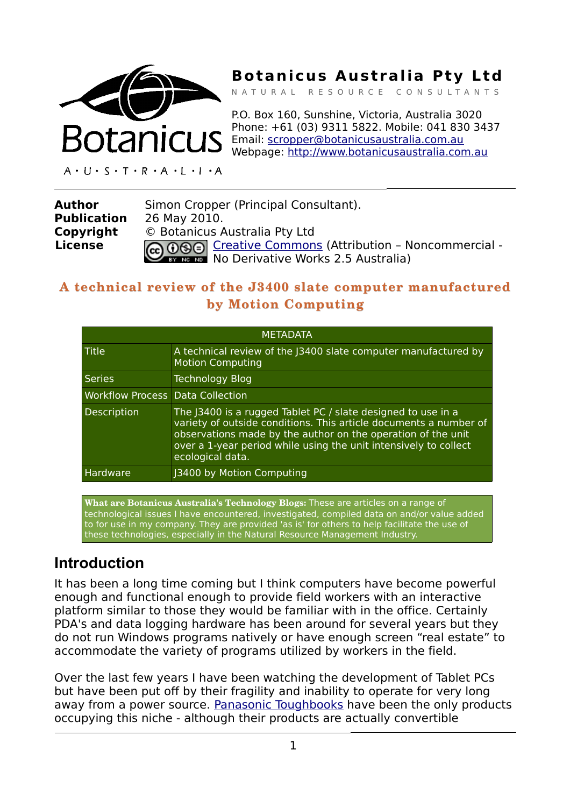

# **Botanicus Australia Pty Ltd**

N A T U R A L R E S O U R C E C O N S U L T A N T S

P.O. Box 160, Sunshine, Victoria, Australia 3020 Phone: +61 (03) 9311 5822. Mobile: 041 830 3437 Email: [scropper@botanicusaustralia.com.au](mailto:scropper@botanicusaustralia.com.au) Webpage: [http://www.botanicusaustralia.com.au](http://www.botanicusaustralia.com.au/)

 $A \cdot U \cdot S \cdot T \cdot R \cdot A \cdot L \cdot I \cdot A$ 

| Author             | Simon Cropper (Principal Consultant).                  |  |
|--------------------|--------------------------------------------------------|--|
| <b>Publication</b> | 26 May 2010.                                           |  |
| Copyright          | © Botanicus Australia Pty Ltd                          |  |
| <b>License</b>     | CO OSO Creative Commons (Attribution - Noncommercial - |  |
|                    |                                                        |  |

## **A technical review of the J3400 slate computer manufactured by Motion Computing**

| <b>METADATA</b>                         |                                                                                                                                                                                                                                                                                           |  |
|-----------------------------------------|-------------------------------------------------------------------------------------------------------------------------------------------------------------------------------------------------------------------------------------------------------------------------------------------|--|
| Title                                   | A technical review of the (3400 slate computer manufactured by<br><b>Motion Computing</b>                                                                                                                                                                                                 |  |
| <b>Series</b>                           | <b>Technology Blog</b>                                                                                                                                                                                                                                                                    |  |
| <b>Workflow Process Data Collection</b> |                                                                                                                                                                                                                                                                                           |  |
| Description                             | The 13400 is a rugged Tablet PC / slate designed to use in a<br>variety of outside conditions. This article documents a number of<br>observations made by the author on the operation of the unit<br>over a 1-year period while using the unit intensively to collect<br>ecological data. |  |
| Hardware                                | J3400 by Motion Computing                                                                                                                                                                                                                                                                 |  |

**What are Botanicus Australia's Technology Blogs:** These are articles on a range of technological issues I have encountered, investigated, compiled data on and/or value added to for use in my company. They are provided 'as is' for others to help facilitate the use of these technologies, especially in the Natural Resource Management Industry.

## **Introduction**

It has been a long time coming but I think computers have become powerful enough and functional enough to provide field workers with an interactive platform similar to those they would be familiar with in the office. Certainly PDA's and data logging hardware has been around for several years but they do not run Windows programs natively or have enough screen "real estate" to accommodate the variety of programs utilized by workers in the field.

Over the last few years I have been watching the development of Tablet PCs but have been put off by their fragility and inability to operate for very long away from a power source. [Panasonic Toughbooks](http://www.panasonic.com.au/products/category.cfm?objectID=2512) have been the only products occupying this niche - although their products are actually convertible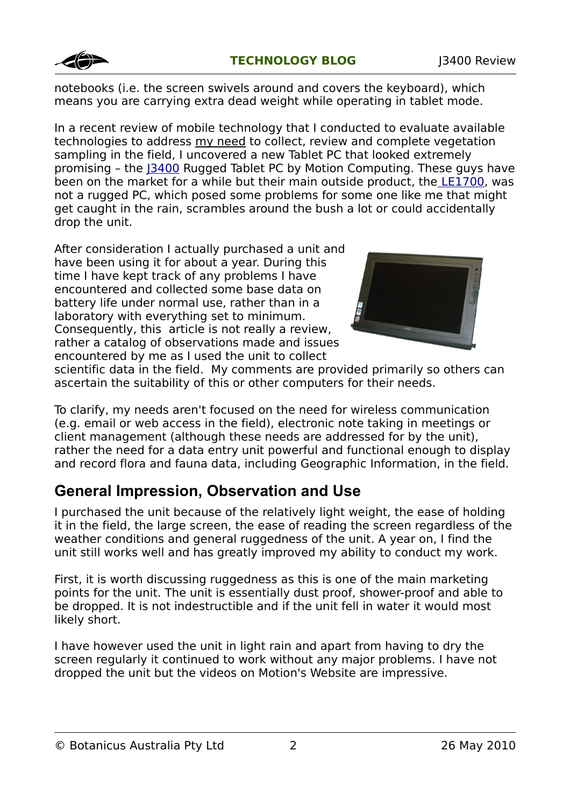

notebooks (i.e. the screen swivels around and covers the keyboard), which means you are carrying extra dead weight while operating in tablet mode.

In a recent review of mobile technology that I conducted to evaluate available technologies to address my need to collect, review and complete vegetation sampling in the field, I uncovered a new Tablet PC that looked extremely promising – the [J3400](http://www.motioncomputing.com.au/products/tablet_pc_J34.asp) Rugged Tablet PC by Motion Computing. These guys have been on the market for a while but their main outside product, th[e LE1700,](http://www.motioncomputing.com.au/products/tablet_pc_le17.asp) was not a rugged PC, which posed some problems for some one like me that might get caught in the rain, scrambles around the bush a lot or could accidentally drop the unit.

After consideration I actually purchased a unit and have been using it for about a year. During this time I have kept track of any problems I have encountered and collected some base data on battery life under normal use, rather than in a laboratory with everything set to minimum. Consequently, this article is not really a review, rather a catalog of observations made and issues encountered by me as I used the unit to collect



scientific data in the field. My comments are provided primarily so others can ascertain the suitability of this or other computers for their needs.

To clarify, my needs aren't focused on the need for wireless communication (e.g. email or web access in the field), electronic note taking in meetings or client management (although these needs are addressed for by the unit), rather the need for a data entry unit powerful and functional enough to display and record flora and fauna data, including Geographic Information, in the field.

# **General Impression, Observation and Use**

I purchased the unit because of the relatively light weight, the ease of holding it in the field, the large screen, the ease of reading the screen regardless of the weather conditions and general ruggedness of the unit. A year on, I find the unit still works well and has greatly improved my ability to conduct my work.

First, it is worth discussing ruggedness as this is one of the main marketing points for the unit. The unit is essentially dust proof, shower-proof and able to be dropped. It is not indestructible and if the unit fell in water it would most likely short.

I have however used the unit in light rain and apart from having to dry the screen regularly it continued to work without any major problems. I have not dropped the unit but the videos on Motion's Website are impressive.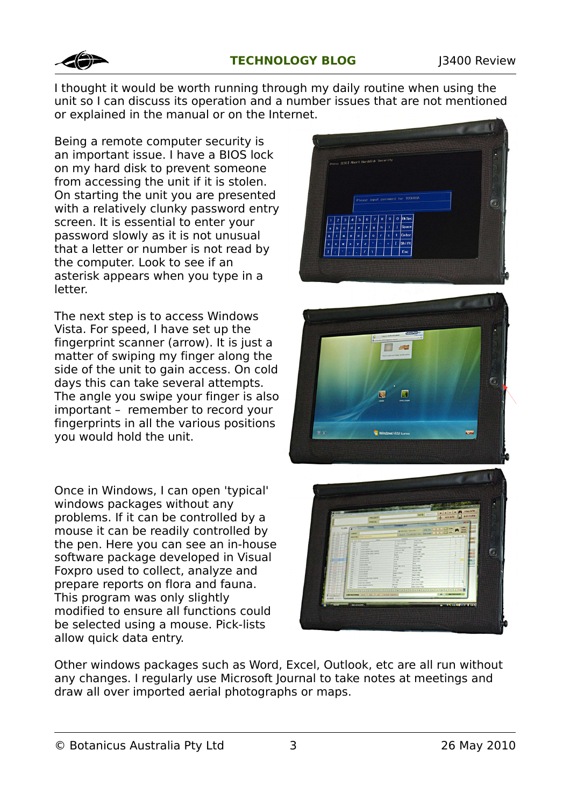

I thought it would be worth running through my daily routine when using the unit so I can discuss its operation and a number issues that are not mentioned or explained in the manual or on the Internet.

Being a remote computer security is an important issue. I have a BIOS lock on my hard disk to prevent someone from accessing the unit if it is stolen. On starting the unit you are presented with a relatively clunky password entry screen. It is essential to enter your password slowly as it is not unusual that a letter or number is not read by the computer. Look to see if an asterisk appears when you type in a letter.

The next step is to access Windows Vista. For speed, I have set up the fingerprint scanner (arrow). It is just a matter of swiping my finger along the side of the unit to gain access. On cold days this can take several attempts. The angle you swipe your finger is also important – remember to record your fingerprints in all the various positions you would hold the unit.

Once in Windows, I can open 'typical' windows packages without any problems. If it can be controlled by a mouse it can be readily controlled by the pen. Here you can see an in-house software package developed in Visual Foxpro used to collect, analyze and prepare reports on flora and fauna. This program was only slightly modified to ensure all functions could be selected using a mouse. Pick-lists allow quick data entry.







Other windows packages such as Word, Excel, Outlook, etc are all run without any changes. I regularly use Microsoft Journal to take notes at meetings and draw all over imported aerial photographs or maps.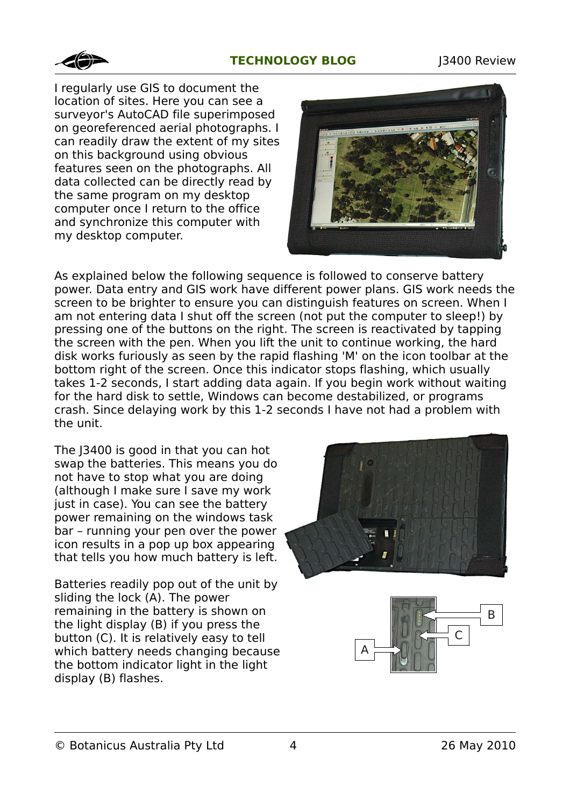### **TECHNOLOGY BLOG** 13400 Review



I regularly use GIS to document the location of sites. Here you can see a surveyor's AutoCAD file superimposed on georeferenced aerial photographs. I can readily draw the extent of my sites on this background using obvious features seen on the photographs. All data collected can be directly read by the same program on my desktop computer once I return to the office and synchronize this computer with my desktop computer.



As explained below the following sequence is followed to conserve battery power. Data entry and GIS work have different power plans. GIS work needs the screen to be brighter to ensure you can distinguish features on screen. When I am not entering data I shut off the screen (not put the computer to sleep!) by pressing one of the buttons on the right. The screen is reactivated by tapping the screen with the pen. When you lift the unit to continue working, the hard disk works furiously as seen by the rapid flashing 'M' on the icon toolbar at the bottom right of the screen. Once this indicator stops flashing, which usually takes 1-2 seconds, I start adding data again. If you begin work without waiting for the hard disk to settle, Windows can become destabilized, or programs crash. Since delaying work by this 1-2 seconds I have not had a problem with the unit.

The J3400 is good in that you can hot swap the batteries. This means you do not have to stop what you are doing (although I make sure I save my work just in case). You can see the battery power remaining on the windows task bar – running your pen over the power icon results in a pop up box appearing that tells you how much battery is left.

Batteries readily pop out of the unit by sliding the lock (A). The power remaining in the battery is shown on the light display (B) if you press the button (C). It is relatively easy to tell which battery needs changing because the bottom indicator light in the light display (B) flashes.



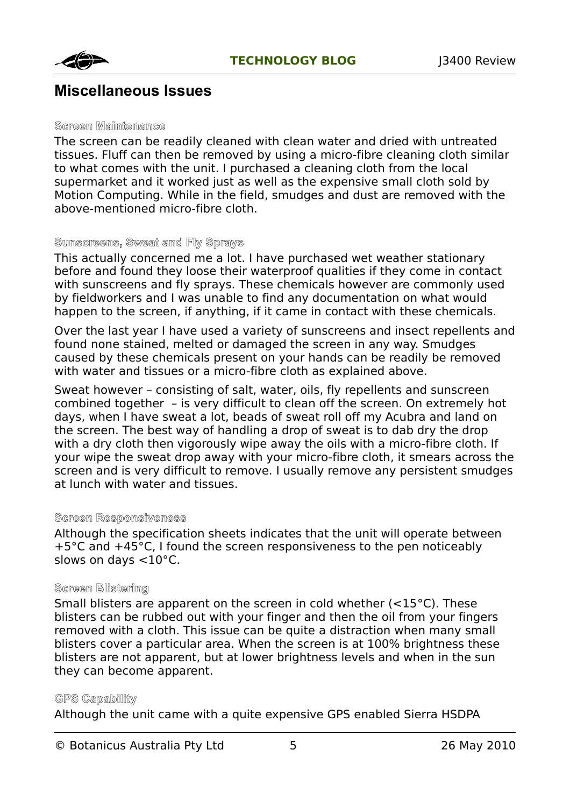

## **Miscellaneous Issues**

#### **Screen Maintenance**

The screen can be readily cleaned with clean water and dried with untreated tissues. Fluff can then be removed by using a micro-fibre cleaning cloth similar to what comes with the unit. I purchased a cleaning cloth from the local supermarket and it worked just as well as the expensive small cloth sold by Motion Computing. While in the field, smudges and dust are removed with the above-mentioned micro-fibre cloth.

#### **Sunscreens, Sweat and Fly Sprays**

This actually concerned me a lot. I have purchased wet weather stationary before and found they loose their waterproof qualities if they come in contact with sunscreens and fly sprays. These chemicals however are commonly used by fieldworkers and I was unable to find any documentation on what would happen to the screen, if anything, if it came in contact with these chemicals.

Over the last year I have used a variety of sunscreens and insect repellents and found none stained, melted or damaged the screen in any way. Smudges caused by these chemicals present on your hands can be readily be removed with water and tissues or a micro-fibre cloth as explained above.

Sweat however – consisting of salt, water, oils, fly repellents and sunscreen combined together – is very difficult to clean off the screen. On extremely hot days, when I have sweat a lot, beads of sweat roll off my Acubra and land on the screen. The best way of handling a drop of sweat is to dab dry the drop with a dry cloth then vigorously wipe away the oils with a micro-fibre cloth. If your wipe the sweat drop away with your micro-fibre cloth, it smears across the screen and is very difficult to remove. I usually remove any persistent smudges at lunch with water and tissues.

#### **Screen Responsiveness**

Although the specification sheets indicates that the unit will operate between +5°C and +45°C, I found the screen responsiveness to the pen noticeably slows on days <10°C.

#### **Screen Blistering**

Small blisters are apparent on the screen in cold whether (<15°C). These blisters can be rubbed out with your finger and then the oil from your fingers removed with a cloth. This issue can be quite a distraction when many small blisters cover a particular area. When the screen is at 100% brightness these blisters are not apparent, but at lower brightness levels and when in the sun they can become apparent.

#### **GPS Capability**

Although the unit came with a quite expensive GPS enabled Sierra HSDPA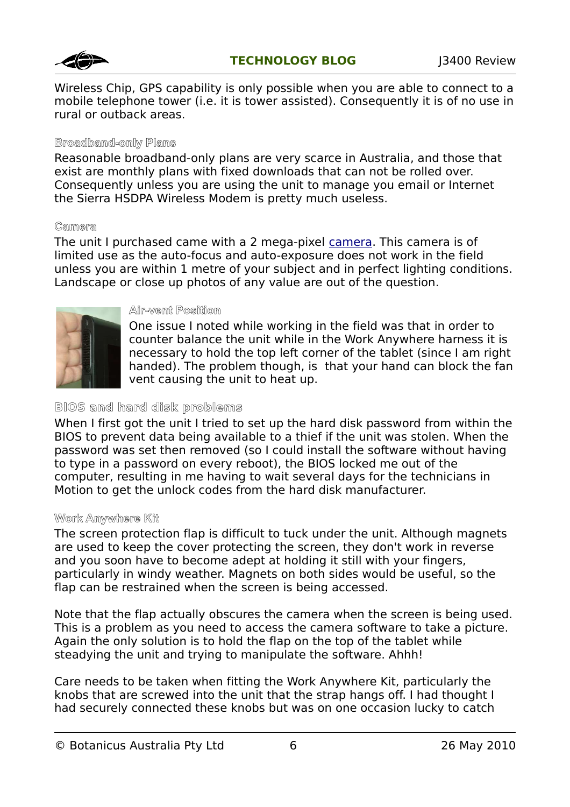

Wireless Chip, GPS capability is only possible when you are able to connect to a mobile telephone tower (i.e. it is tower assisted). Consequently it is of no use in rural or outback areas.

### **Broadband-only Plans**

Reasonable broadband-only plans are very scarce in Australia, and those that exist are monthly plans with fixed downloads that can not be rolled over. Consequently unless you are using the unit to manage you email or Internet the Sierra HSDPA Wireless Modem is pretty much useless.

### **Camera**

The unit I purchased came with a 2 mega-pixel [camera.](http://www.motioncomputing.com.au/choose/spec_dcam_J34.htm) This camera is of limited use as the auto-focus and auto-exposure does not work in the field unless you are within 1 metre of your subject and in perfect lighting conditions. Landscape or close up photos of any value are out of the question.



#### **Air-vent Position**

One issue I noted while working in the field was that in order to counter balance the unit while in the Work Anywhere harness it is necessary to hold the top left corner of the tablet (since I am right handed). The problem though, is that your hand can block the fan vent causing the unit to heat up.

### **BIOS and hard disk problems**

When I first got the unit I tried to set up the hard disk password from within the BIOS to prevent data being available to a thief if the unit was stolen. When the password was set then removed (so I could install the software without having to type in a password on every reboot), the BIOS locked me out of the computer, resulting in me having to wait several days for the technicians in Motion to get the unlock codes from the hard disk manufacturer.

### **Work Anywhere Kit**

The screen protection flap is difficult to tuck under the unit. Although magnets are used to keep the cover protecting the screen, they don't work in reverse and you soon have to become adept at holding it still with your fingers, particularly in windy weather. Magnets on both sides would be useful, so the flap can be restrained when the screen is being accessed.

Note that the flap actually obscures the camera when the screen is being used. This is a problem as you need to access the camera software to take a picture. Again the only solution is to hold the flap on the top of the tablet while steadying the unit and trying to manipulate the software. Ahhh!

Care needs to be taken when fitting the Work Anywhere Kit, particularly the knobs that are screwed into the unit that the strap hangs off. I had thought I had securely connected these knobs but was on one occasion lucky to catch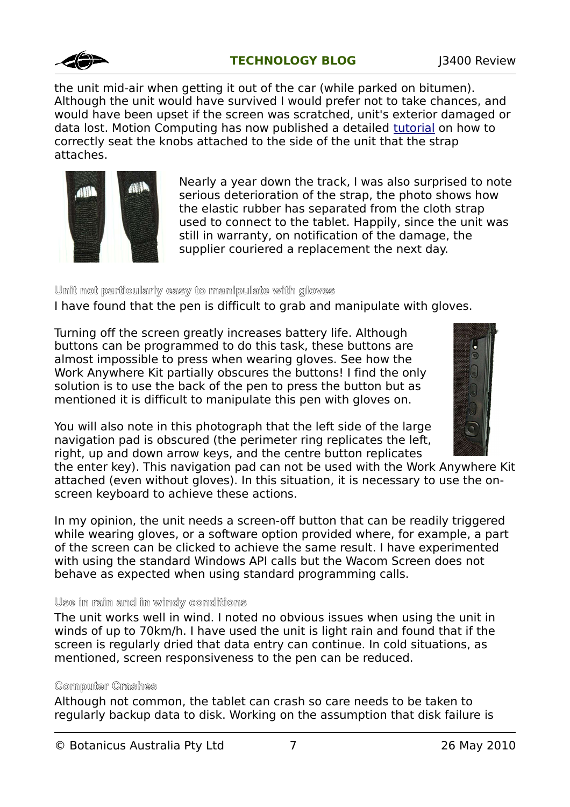

the unit mid-air when getting it out of the car (while parked on bitumen). Although the unit would have survived I would prefer not to take chances, and would have been upset if the screen was scratched, unit's exterior damaged or data lost. Motion Computing has now published a detailed [tutorial](http://www.motioncomputing.com/kb/article.aspx?id=10476) on how to correctly seat the knobs attached to the side of the unit that the strap attaches.



Nearly a year down the track, I was also surprised to note serious deterioration of the strap, the photo shows how the elastic rubber has separated from the cloth strap used to connect to the tablet. Happily, since the unit was still in warranty, on notification of the damage, the supplier couriered a replacement the next day.

### **Unit not particularly easy to manipulate with gloves**

I have found that the pen is difficult to grab and manipulate with gloves.

Turning off the screen greatly increases battery life. Although buttons can be programmed to do this task, these buttons are almost impossible to press when wearing gloves. See how the Work Anywhere Kit partially obscures the buttons! I find the only solution is to use the back of the pen to press the button but as mentioned it is difficult to manipulate this pen with gloves on.



You will also note in this photograph that the left side of the large navigation pad is obscured (the perimeter ring replicates the left, right, up and down arrow keys, and the centre button replicates

the enter key). This navigation pad can not be used with the Work Anywhere Kit attached (even without gloves). In this situation, it is necessary to use the onscreen keyboard to achieve these actions.

In my opinion, the unit needs a screen-off button that can be readily triggered while wearing gloves, or a software option provided where, for example, a part of the screen can be clicked to achieve the same result. I have experimented with using the standard Windows API calls but the Wacom Screen does not behave as expected when using standard programming calls.

### **Use in rain and in windy conditions**

The unit works well in wind. I noted no obvious issues when using the unit in winds of up to 70km/h. I have used the unit is light rain and found that if the screen is regularly dried that data entry can continue. In cold situations, as mentioned, screen responsiveness to the pen can be reduced.

### **Computer Crashes**

Although not common, the tablet can crash so care needs to be taken to regularly backup data to disk. Working on the assumption that disk failure is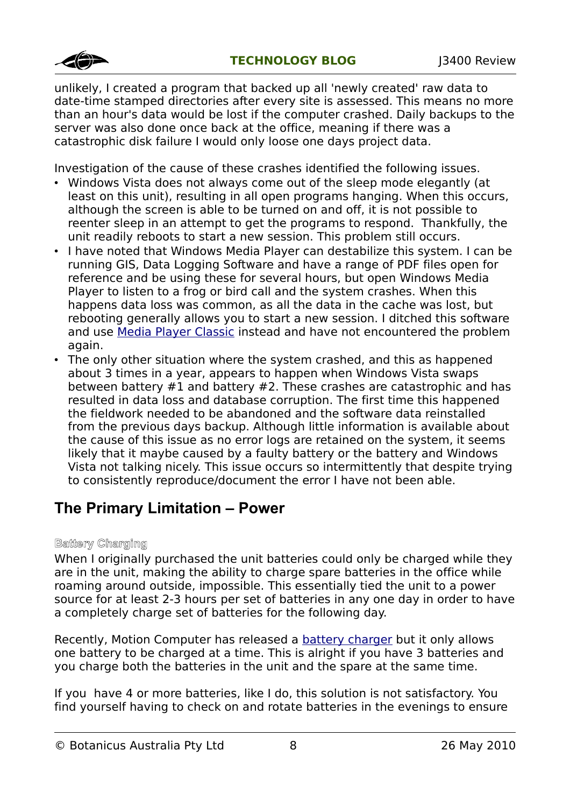

unlikely, I created a program that backed up all 'newly created' raw data to date-time stamped directories after every site is assessed. This means no more than an hour's data would be lost if the computer crashed. Daily backups to the server was also done once back at the office, meaning if there was a catastrophic disk failure I would only loose one days project data.

Investigation of the cause of these crashes identified the following issues.

- Windows Vista does not always come out of the sleep mode elegantly (at least on this unit), resulting in all open programs hanging. When this occurs, although the screen is able to be turned on and off, it is not possible to reenter sleep in an attempt to get the programs to respond. Thankfully, the unit readily reboots to start a new session. This problem still occurs.
- I have noted that Windows Media Player can destabilize this system. I can be running GIS, Data Logging Software and have a range of PDF files open for reference and be using these for several hours, but open Windows Media Player to listen to a frog or bird call and the system crashes. When this happens data loss was common, as all the data in the cache was lost, but rebooting generally allows you to start a new session. I ditched this software and use [Media Player Classic](http://mpc-hc.sourceforge.net/) instead and have not encountered the problem again.
- The only other situation where the system crashed, and this as happened about 3 times in a year, appears to happen when Windows Vista swaps between battery #1 and battery #2. These crashes are catastrophic and has resulted in data loss and database corruption. The first time this happened the fieldwork needed to be abandoned and the software data reinstalled from the previous days backup. Although little information is available about the cause of this issue as no error logs are retained on the system, it seems likely that it maybe caused by a faulty battery or the battery and Windows Vista not talking nicely. This issue occurs so intermittently that despite trying to consistently reproduce/document the error I have not been able.

## **The Primary Limitation – Power**

### **Battery Charging**

When I originally purchased the unit batteries could only be charged while they are in the unit, making the ability to charge spare batteries in the office while roaming around outside, impossible. This essentially tied the unit to a power source for at least 2-3 hours per set of batteries in any one day in order to have a completely charge set of batteries for the following day.

Recently, Motion Computer has released a **battery charger** but it only allows one battery to be charged at a time. This is alright if you have 3 batteries and you charge both the batteries in the unit and the spare at the same time.

If you have 4 or more batteries, like I do, this solution is not satisfactory. You find yourself having to check on and rotate batteries in the evenings to ensure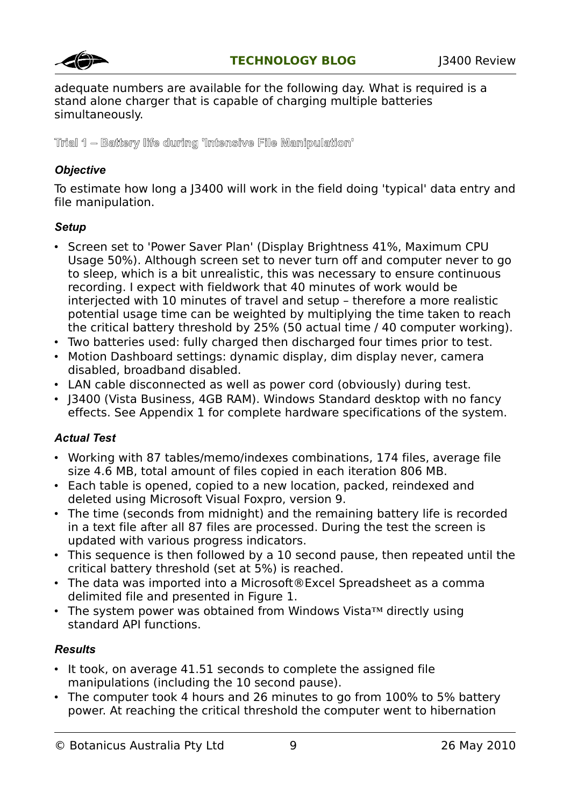

adequate numbers are available for the following day. What is required is a stand alone charger that is capable of charging multiple batteries simultaneously.

**Trial 1 – Battery life during 'Intensive File Manipulation'**

### *Objective*

To estimate how long a J3400 will work in the field doing 'typical' data entry and file manipulation.

### *Setup*

- Screen set to 'Power Saver Plan' (Display Brightness 41%, Maximum CPU Usage 50%). Although screen set to never turn off and computer never to go to sleep, which is a bit unrealistic, this was necessary to ensure continuous recording. I expect with fieldwork that 40 minutes of work would be interjected with 10 minutes of travel and setup - therefore a more realistic potential usage time can be weighted by multiplying the time taken to reach the critical battery threshold by 25% (50 actual time / 40 computer working).
- Two batteries used: fully charged then discharged four times prior to test.
- Motion Dashboard settings: dynamic display, dim display never, camera disabled, broadband disabled.
- LAN cable disconnected as well as power cord (obviously) during test.
- J3400 (Vista Business, 4GB RAM). Windows Standard desktop with no fancy effects. See Appendix 1 for complete hardware specifications of the system.

### *Actual Test*

- Working with 87 tables/memo/indexes combinations, 174 files, average file size 4.6 MB, total amount of files copied in each iteration 806 MB.
- Each table is opened, copied to a new location, packed, reindexed and deleted using Microsoft Visual Foxpro, version 9.
- The time (seconds from midnight) and the remaining battery life is recorded in a text file after all 87 files are processed. During the test the screen is updated with various progress indicators.
- This sequence is then followed by a 10 second pause, then repeated until the critical battery threshold (set at 5%) is reached.
- The data was imported into a Microsoft®Excel Spreadsheet as a comma delimited file and presented in Figure 1.
- The system power was obtained from Windows Vista™ directly using standard API functions.

### *Results*

- It took, on average 41.51 seconds to complete the assigned file manipulations (including the 10 second pause).
- The computer took 4 hours and 26 minutes to go from 100% to 5% battery power. At reaching the critical threshold the computer went to hibernation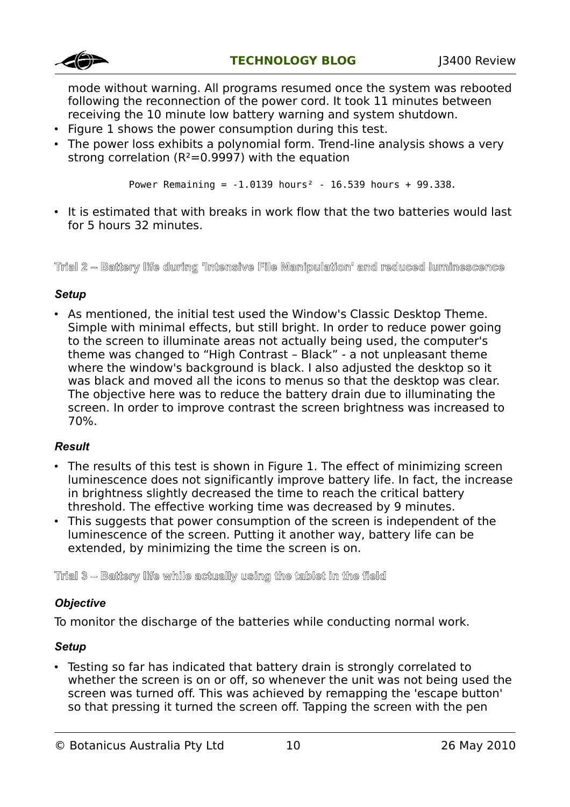

mode without warning. All programs resumed once the system was rebooted following the reconnection of the power cord. It took 11 minutes between receiving the 10 minute low battery warning and system shutdown.

- Figure 1 shows the power consumption during this test.
- The power loss exhibits a polynomial form. Trend-line analysis shows a very strong correlation ( $R^2$ =0.9997) with the equation

Power Remaining =  $-1.0139$  hours<sup>2</sup> - 16.539 hours + 99.338.

• It is estimated that with breaks in work flow that the two batteries would last for 5 hours 32 minutes.

#### **Trial 2 – Battery life during 'Intensive File Manipulation' and reduced luminescence**

#### *Setup*

• As mentioned, the initial test used the Window's Classic Desktop Theme. Simple with minimal effects, but still bright. In order to reduce power going to the screen to illuminate areas not actually being used, the computer's theme was changed to "High Contrast – Black" - a not unpleasant theme where the window's background is black. I also adjusted the desktop so it was black and moved all the icons to menus so that the desktop was clear. The objective here was to reduce the battery drain due to illuminating the screen. In order to improve contrast the screen brightness was increased to 70%.

### *Result*

- The results of this test is shown in Figure 1. The effect of minimizing screen luminescence does not significantly improve battery life. In fact, the increase in brightness slightly decreased the time to reach the critical battery threshold. The effective working time was decreased by 9 minutes.
- This suggests that power consumption of the screen is independent of the luminescence of the screen. Putting it another way, battery life can be extended, by minimizing the time the screen is on.

**Trial 3 – Battery life while actually using the tablet in the field**

### *Objective*

To monitor the discharge of the batteries while conducting normal work.

### *Setup*

• Testing so far has indicated that battery drain is strongly correlated to whether the screen is on or off, so whenever the unit was not being used the screen was turned off. This was achieved by remapping the 'escape button' so that pressing it turned the screen off. Tapping the screen with the pen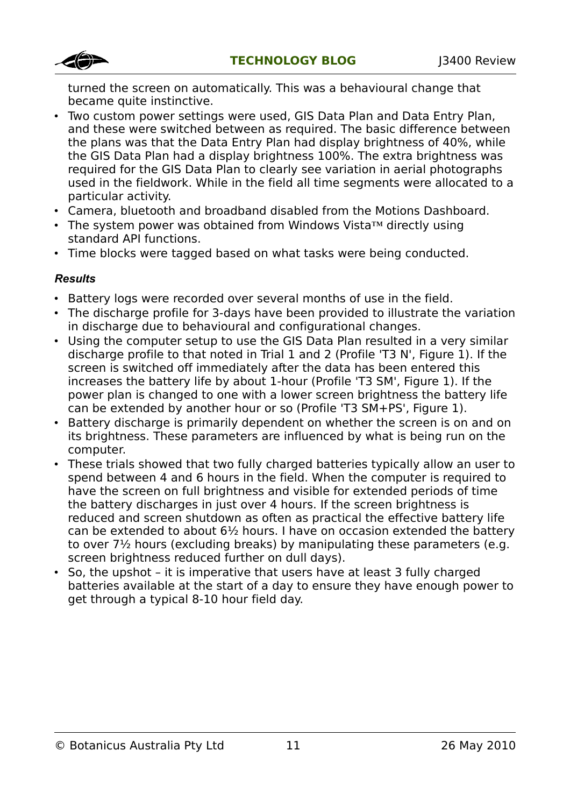

turned the screen on automatically. This was a behavioural change that became quite instinctive.

- Two custom power settings were used, GIS Data Plan and Data Entry Plan, and these were switched between as required. The basic difference between the plans was that the Data Entry Plan had display brightness of 40%, while the GIS Data Plan had a display brightness 100%. The extra brightness was required for the GIS Data Plan to clearly see variation in aerial photographs used in the fieldwork. While in the field all time segments were allocated to a particular activity.
- Camera, bluetooth and broadband disabled from the Motions Dashboard.
- The system power was obtained from Windows Vista™ directly using standard API functions.
- Time blocks were tagged based on what tasks were being conducted.

### *Results*

- Battery logs were recorded over several months of use in the field.
- The discharge profile for 3-days have been provided to illustrate the variation in discharge due to behavioural and configurational changes.
- Using the computer setup to use the GIS Data Plan resulted in a very similar discharge profile to that noted in Trial 1 and 2 (Profile 'T3 N', Figure 1). If the screen is switched off immediately after the data has been entered this increases the battery life by about 1-hour (Profile 'T3 SM', Figure 1). If the power plan is changed to one with a lower screen brightness the battery life can be extended by another hour or so (Profile 'T3 SM+PS', Figure 1).
- Battery discharge is primarily dependent on whether the screen is on and on its brightness. These parameters are influenced by what is being run on the computer.
- These trials showed that two fully charged batteries typically allow an user to spend between 4 and 6 hours in the field. When the computer is required to have the screen on full brightness and visible for extended periods of time the battery discharges in just over 4 hours. If the screen brightness is reduced and screen shutdown as often as practical the effective battery life can be extended to about 6½ hours. I have on occasion extended the battery to over 7½ hours (excluding breaks) by manipulating these parameters (e.g. screen brightness reduced further on dull days).
- So, the upshot it is imperative that users have at least 3 fully charged batteries available at the start of a day to ensure they have enough power to get through a typical 8-10 hour field day.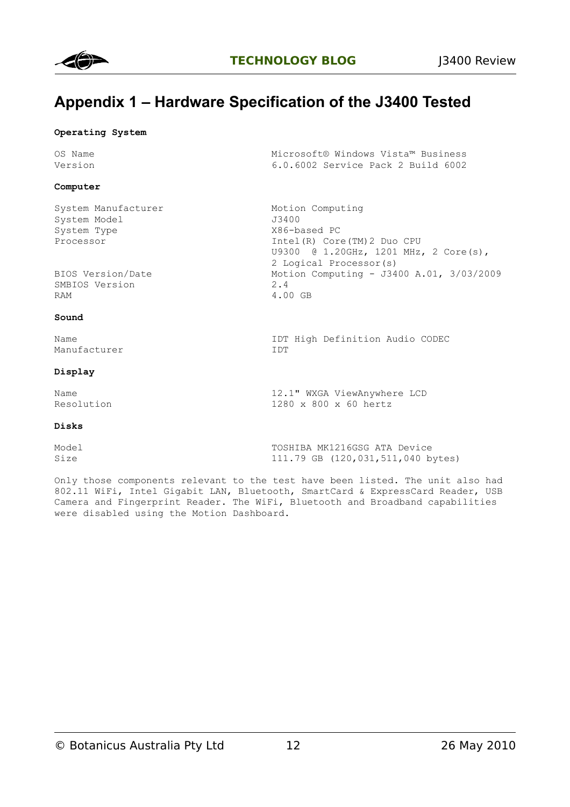

## **Appendix 1 – Hardware Specification of the J3400 Tested**

#### **Operating System**

| OS Name<br>Version                                                                   | Microsoft® Windows Vista™ Business<br>6.0.6002 Service Pack 2 Build 6002                                                                                                                  |
|--------------------------------------------------------------------------------------|-------------------------------------------------------------------------------------------------------------------------------------------------------------------------------------------|
| Computer                                                                             |                                                                                                                                                                                           |
| System Manufacturer<br>System Model<br>System Type<br>Processor<br>BIOS Version/Date | Motion Computing<br>J3400<br>X86-based PC<br>Intel (R) Core (TM) 2 Duo CPU<br>U9300 @ 1.20GHz, 1201 MHz, 2 Core(s),<br>2 Logical Processor(s)<br>Motion Computing - J3400 A.01, 3/03/2009 |
| SMBIOS Version<br>RAM                                                                | 2.4<br>4.00 GB                                                                                                                                                                            |
| Sound                                                                                |                                                                                                                                                                                           |
| Name<br>Manufacturer                                                                 | IDT High Definition Audio CODEC<br>IDT                                                                                                                                                    |
| Display                                                                              |                                                                                                                                                                                           |

Name 12.1" WXGA ViewAnywhere LCD<br>Resolution 1280 x 800 x 60 hertz

#### **Disks**

| Model | TOSHIBA MK1216GSG ATA Device      |
|-------|-----------------------------------|
| Size  | 111.79 GB (120,031,511,040 bytes) |

Only those components relevant to the test have been listed. The unit also had 802.11 WiFi, Intel Gigabit LAN, Bluetooth, SmartCard & ExpressCard Reader, USB Camera and Fingerprint Reader. The WiFi, Bluetooth and Broadband capabilities were disabled using the Motion Dashboard.

1280 x 800 x 60 hertz